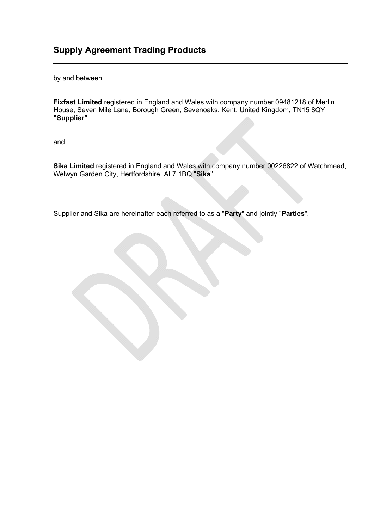# **Supply Agreement Trading Products**

by and between

**Fixfast Limited** registered in England and Wales with company number 09481218 of Merlin House, Seven Mile Lane, Borough Green, Sevenoaks, Kent, United Kingdom, TN15 8QY **"Supplier"** 

and

**Sika Limited** registered in England and Wales with company number 00226822 of Watchmead, Welwyn Garden City, Hertfordshire, AL7 1BQ "**Sika**",

Supplier and Sika are hereinafter each referred to as a "**Party**" and jointly "**Parties**".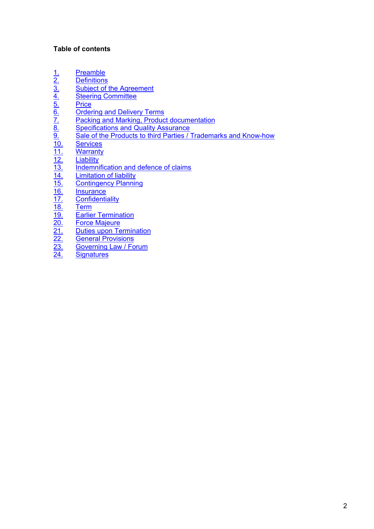# **Table of contents**

- 1. Preamble<br>
2. Definitions<br>
3. Subject of<br>
5. Subject of<br>
2. Price<br>
2. Drdering a<br>
2. Decificat<br>
2. Specificat<br>
2. Sepecificat<br>
2. Liability<br>
1. Liability<br>
1. Liability<br>
1. Liability<br>
1. Liability<br>
1. Limitation<br>
1. Conti **Definitions**
- **Subject of the Agreement**
- **Steering Committee**
- **Price**
- 
- **Ordering and Delivery Terms**
- Packing and Marking, Product documentation
- **Specifications and Quality Assurance**
- Sale of the Products to third Parties / Trademarks and Know-how
- **Services**
- Warranty
- Liability
- Indemnification and defence of claims
- **Limitation of liability**
- Contingency Planning
- **Insurance**
- **Confidentiality**
- Term
- **Earlier Termination**
- **Force Majeure**
- Duties upon Termination
- **General Provisions**
- Governing Law / Forum
- **Signatures**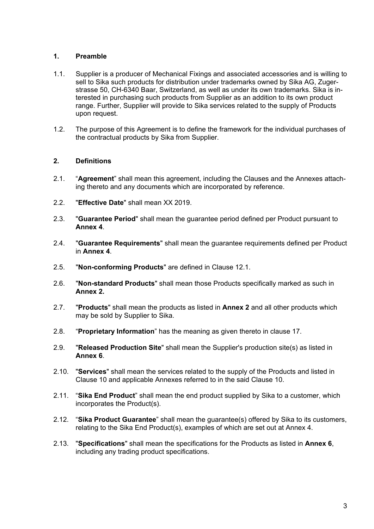# **1. Preamble**

- 1.1. Supplier is a producer of Mechanical Fixings and associated accessories and is willing to sell to Sika such products for distribution under trademarks owned by Sika AG, Zugerstrasse 50, CH-6340 Baar, Switzerland, as well as under its own trademarks. Sika is interested in purchasing such products from Supplier as an addition to its own product range. Further, Supplier will provide to Sika services related to the supply of Products upon request.
- 1.2. The purpose of this Agreement is to define the framework for the individual purchases of the contractual products by Sika from Supplier.

### **2. Definitions**

- 2.1. "**Agreement**" shall mean this agreement, including the Clauses and the Annexes attaching thereto and any documents which are incorporated by reference.
- 2.2. "**Effective Date**" shall mean XX 2019.
- 2.3. "**Guarantee Period**" shall mean the guarantee period defined per Product pursuant to **Annex 4**.
- 2.4. "**Guarantee Requirements**" shall mean the guarantee requirements defined per Product in **Annex 4**.
- 2.5. "**Non-conforming Products**" are defined in Clause 12.1.
- 2.6. "**Non-standard Products**" shall mean those Products specifically marked as such in **Annex 2.**
- 2.7. "**Products**" shall mean the products as listed in **Annex 2** and all other products which may be sold by Supplier to Sika.
- 2.8. "**Proprietary Information**" has the meaning as given thereto in clause 17.
- 2.9. "**Released Production Site**" shall mean the Supplier's production site(s) as listed in **Annex 6**.
- 2.10. "**Services**" shall mean the services related to the supply of the Products and listed in Clause 10 and applicable Annexes referred to in the said Clause 10.
- 2.11. "**Sika End Product**" shall mean the end product supplied by Sika to a customer, which incorporates the Product(s).
- 2.12. "**Sika Product Guarantee**" shall mean the guarantee(s) offered by Sika to its customers, relating to the Sika End Product(s), examples of which are set out at Annex 4.
- 2.13. "**Specifications**" shall mean the specifications for the Products as listed in **Annex 6**, including any trading product specifications.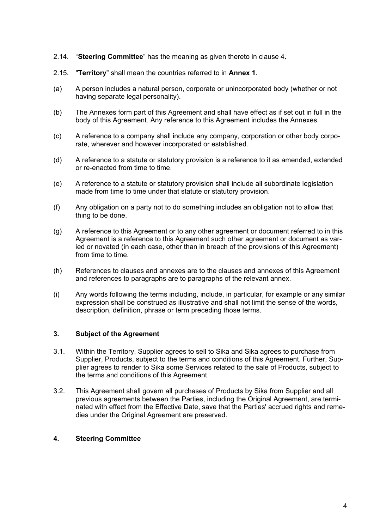- 2.14. "**Steering Committee**" has the meaning as given thereto in clause 4.
- 2.15. "**Territory**" shall mean the countries referred to in **Annex 1**.
- (a) A person includes a natural person, corporate or unincorporated body (whether or not having separate legal personality).
- (b) The Annexes form part of this Agreement and shall have effect as if set out in full in the body of this Agreement. Any reference to this Agreement includes the Annexes.
- (c) A reference to a company shall include any company, corporation or other body corporate, wherever and however incorporated or established.
- (d) A reference to a statute or statutory provision is a reference to it as amended, extended or re-enacted from time to time.
- (e) A reference to a statute or statutory provision shall include all subordinate legislation made from time to time under that statute or statutory provision.
- (f) Any obligation on a party not to do something includes an obligation not to allow that thing to be done.
- (g) A reference to this Agreement or to any other agreement or document referred to in this Agreement is a reference to this Agreement such other agreement or document as varied or novated (in each case, other than in breach of the provisions of this Agreement) from time to time.
- (h) References to clauses and annexes are to the clauses and annexes of this Agreement and references to paragraphs are to paragraphs of the relevant annex.
- (i) Any words following the terms including, include, in particular, for example or any similar expression shall be construed as illustrative and shall not limit the sense of the words, description, definition, phrase or term preceding those terms.

### **3. Subject of the Agreement**

- 3.1. Within the Territory, Supplier agrees to sell to Sika and Sika agrees to purchase from Supplier, Products, subject to the terms and conditions of this Agreement. Further, Supplier agrees to render to Sika some Services related to the sale of Products, subject to the terms and conditions of this Agreement.
- 3.2. This Agreement shall govern all purchases of Products by Sika from Supplier and all previous agreements between the Parties, including the Original Agreement, are terminated with effect from the Effective Date, save that the Parties' accrued rights and remedies under the Original Agreement are preserved.

# **4. Steering Committee**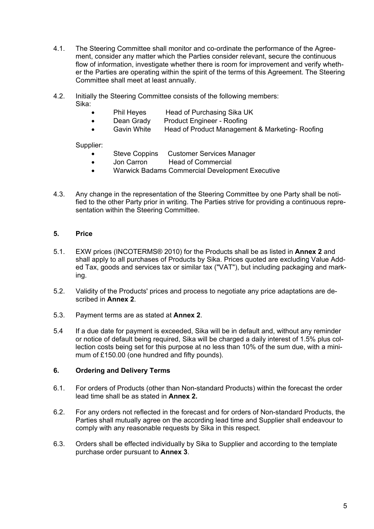- 4.1. The Steering Committee shall monitor and co-ordinate the performance of the Agreement, consider any matter which the Parties consider relevant, secure the continuous flow of information, investigate whether there is room for improvement and verify whether the Parties are operating within the spirit of the terms of this Agreement. The Steering Committee shall meet at least annually.
- 4.2. Initially the Steering Committee consists of the following members: Sika:
	- Phil Heyes Head of Purchasing Sika UK
	- Dean Grady Product Engineer Roofing
	- Gavin White Head of Product Management & Marketing- Roofing

### Supplier:

- Steve Coppins Customer Services Manager
- Jon Carron Head of Commercial
- Warwick Badams Commercial Development Executive
- 4.3. Any change in the representation of the Steering Committee by one Party shall be notified to the other Party prior in writing. The Parties strive for providing a continuous representation within the Steering Committee.

# **5. Price**

- 5.1. EXW prices (INCOTERMS® 2010) for the Products shall be as listed in **Annex 2** and shall apply to all purchases of Products by Sika. Prices quoted are excluding Value Added Tax, goods and services tax or similar tax ("VAT"), but including packaging and marking.
- 5.2. Validity of the Products' prices and process to negotiate any price adaptations are described in **Annex 2**.
- 5.3. Payment terms are as stated at **Annex 2**.
- 5.4 If a due date for payment is exceeded, Sika will be in default and, without any reminder or notice of default being required, Sika will be charged a daily interest of 1.5% plus collection costs being set for this purpose at no less than 10% of the sum due, with a minimum of £150.00 (one hundred and fifty pounds).

### **6. Ordering and Delivery Terms**

- 6.1. For orders of Products (other than Non-standard Products) within the forecast the order lead time shall be as stated in **Annex 2.**
- 6.2. For any orders not reflected in the forecast and for orders of Non-standard Products, the Parties shall mutually agree on the according lead time and Supplier shall endeavour to comply with any reasonable requests by Sika in this respect.
- 6.3. Orders shall be effected individually by Sika to Supplier and according to the template purchase order pursuant to **Annex 3**.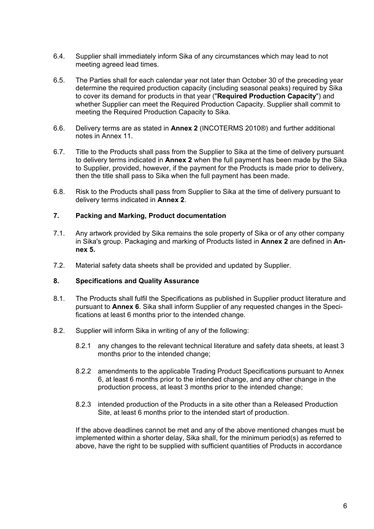- 6.4. Supplier shall immediately inform Sika of any circumstances which may lead to not meeting agreed lead times.
- 6.5. The Parties shall for each calendar year not later than October 30 of the preceding year determine the required production capacity (including seasonal peaks) required by Sika to cover its demand for products in that year ("**Required Production Capacity**") and whether Supplier can meet the Required Production Capacity. Supplier shall commit to meeting the Required Production Capacity to Sika.
- 6.6. Delivery terms are as stated in **Annex 2** (INCOTERMS 2010®) and further additional notes in Annex 11.
- 6.7. Title to the Products shall pass from the Supplier to Sika at the time of delivery pursuant to delivery terms indicated in **Annex 2** when the full payment has been made by the Sika to Supplier, provided, however, if the payment for the Products is made prior to delivery, then the title shall pass to Sika when the full payment has been made.
- 6.8. Risk to the Products shall pass from Supplier to Sika at the time of delivery pursuant to delivery terms indicated in **Annex 2**.

### **7. Packing and Marking, Product documentation**

- 7.1. Any artwork provided by Sika remains the sole property of Sika or of any other company in Sika's group. Packaging and marking of Products listed in **Annex 2** are defined in **Annex 5.**
- 7.2. Material safety data sheets shall be provided and updated by Supplier.

### **8. Specifications and Quality Assurance**

- 8.1. The Products shall fulfil the Specifications as published in Supplier product literature and pursuant to **Annex 6**. Sika shall inform Supplier of any requested changes in the Specifications at least 6 months prior to the intended change.
- 8.2. Supplier will inform Sika in writing of any of the following:
	- 8.2.1 any changes to the relevant technical literature and safety data sheets, at least 3 months prior to the intended change;
	- 8.2.2 amendments to the applicable Trading Product Specifications pursuant to Annex 6, at least 6 months prior to the intended change, and any other change in the production process, at least 3 months prior to the intended change;
	- 8.2.3 intended production of the Products in a site other than a Released Production Site, at least 6 months prior to the intended start of production.

If the above deadlines cannot be met and any of the above mentioned changes must be implemented within a shorter delay, Sika shall, for the minimum period(s) as referred to above, have the right to be supplied with sufficient quantities of Products in accordance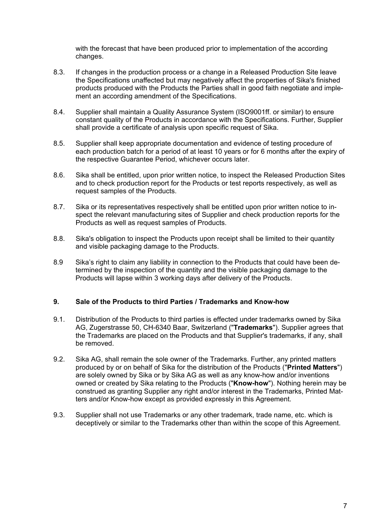with the forecast that have been produced prior to implementation of the according changes.

- 8.3. If changes in the production process or a change in a Released Production Site leave the Specifications unaffected but may negatively affect the properties of Sika's finished products produced with the Products the Parties shall in good faith negotiate and implement an according amendment of the Specifications.
- 8.4. Supplier shall maintain a Quality Assurance System (ISO9001ff. or similar) to ensure constant quality of the Products in accordance with the Specifications. Further, Supplier shall provide a certificate of analysis upon specific request of Sika.
- 8.5. Supplier shall keep appropriate documentation and evidence of testing procedure of each production batch for a period of at least 10 years or for 6 months after the expiry of the respective Guarantee Period, whichever occurs later.
- 8.6. Sika shall be entitled, upon prior written notice, to inspect the Released Production Sites and to check production report for the Products or test reports respectively, as well as request samples of the Products.
- 8.7. Sika or its representatives respectively shall be entitled upon prior written notice to inspect the relevant manufacturing sites of Supplier and check production reports for the Products as well as request samples of Products.
- 8.8. Sika's obligation to inspect the Products upon receipt shall be limited to their quantity and visible packaging damage to the Products.
- 8.9 Sika's right to claim any liability in connection to the Products that could have been determined by the inspection of the quantity and the visible packaging damage to the Products will lapse within 3 working days after delivery of the Products.

### **9. Sale of the Products to third Parties / Trademarks and Know-how**

- 9.1. Distribution of the Products to third parties is effected under trademarks owned by Sika AG, Zugerstrasse 50, CH-6340 Baar, Switzerland ("**Trademarks**"). Supplier agrees that the Trademarks are placed on the Products and that Supplier's trademarks, if any, shall be removed.
- 9.2. Sika AG, shall remain the sole owner of the Trademarks. Further, any printed matters produced by or on behalf of Sika for the distribution of the Products ("**Printed Matters**") are solely owned by Sika or by Sika AG as well as any know-how and/or inventions owned or created by Sika relating to the Products ("**Know-how**"). Nothing herein may be construed as granting Supplier any right and/or interest in the Trademarks, Printed Matters and/or Know-how except as provided expressly in this Agreement.
- 9.3. Supplier shall not use Trademarks or any other trademark, trade name, etc. which is deceptively or similar to the Trademarks other than within the scope of this Agreement.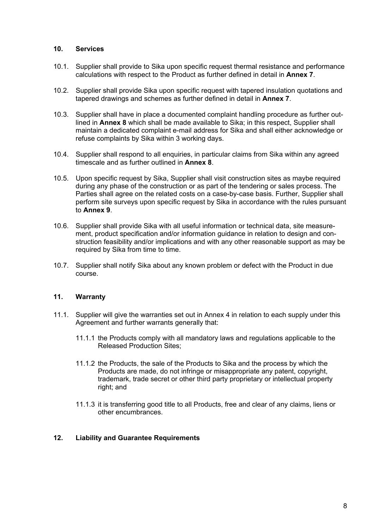### **10. Services**

- 10.1. Supplier shall provide to Sika upon specific request thermal resistance and performance calculations with respect to the Product as further defined in detail in **Annex 7**.
- 10.2. Supplier shall provide Sika upon specific request with tapered insulation quotations and tapered drawings and schemes as further defined in detail in **Annex 7**.
- 10.3. Supplier shall have in place a documented complaint handling procedure as further outlined in **Annex 8** which shall be made available to Sika; in this respect, Supplier shall maintain a dedicated complaint e-mail address for Sika and shall either acknowledge or refuse complaints by Sika within 3 working days.
- 10.4. Supplier shall respond to all enquiries, in particular claims from Sika within any agreed timescale and as further outlined in **Annex 8**.
- 10.5. Upon specific request by Sika, Supplier shall visit construction sites as maybe required during any phase of the construction or as part of the tendering or sales process. The Parties shall agree on the related costs on a case-by-case basis. Further, Supplier shall perform site surveys upon specific request by Sika in accordance with the rules pursuant to **Annex 9**.
- 10.6. Supplier shall provide Sika with all useful information or technical data, site measurement, product specification and/or information guidance in relation to design and construction feasibility and/or implications and with any other reasonable support as may be required by Sika from time to time.
- 10.7. Supplier shall notify Sika about any known problem or defect with the Product in due course.

# **11. Warranty**

- 11.1. Supplier will give the warranties set out in Annex 4 in relation to each supply under this Agreement and further warrants generally that:
	- 11.1.1 the Products comply with all mandatory laws and regulations applicable to the Released Production Sites;
	- 11.1.2 the Products, the sale of the Products to Sika and the process by which the Products are made, do not infringe or misappropriate any patent, copyright, trademark, trade secret or other third party proprietary or intellectual property right; and
	- 11.1.3 it is transferring good title to all Products, free and clear of any claims, liens or other encumbrances.

### **12. Liability and Guarantee Requirements**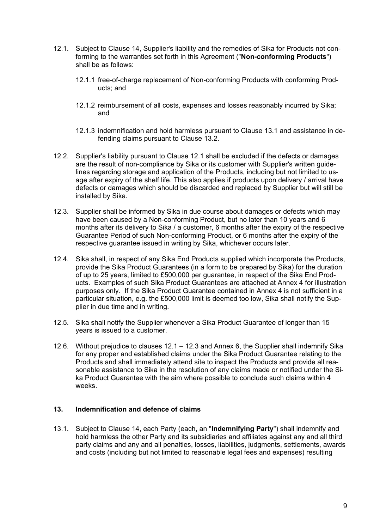- 12.1. Subject to Clause 14, Supplier's liability and the remedies of Sika for Products not conforming to the warranties set forth in this Agreement ("**Non-conforming Products**") shall be as follows:
	- 12.1.1 free-of-charge replacement of Non-conforming Products with conforming Products; and
	- 12.1.2 reimbursement of all costs, expenses and losses reasonably incurred by Sika; and
	- 12.1.3 indemnification and hold harmless pursuant to Clause 13.1 and assistance in defending claims pursuant to Clause 13.2.
- 12.2. Supplier's liability pursuant to Clause 12.1 shall be excluded if the defects or damages are the result of non-compliance by Sika or its customer with Supplier's written guidelines regarding storage and application of the Products, including but not limited to usage after expiry of the shelf life. This also applies if products upon delivery / arrival have defects or damages which should be discarded and replaced by Supplier but will still be installed by Sika.
- 12.3. Supplier shall be informed by Sika in due course about damages or defects which may have been caused by a Non-conforming Product, but no later than 10 years and 6 months after its delivery to Sika / a customer, 6 months after the expiry of the respective Guarantee Period of such Non-conforming Product, or 6 months after the expiry of the respective guarantee issued in writing by Sika, whichever occurs later.
- 12.4. Sika shall, in respect of any Sika End Products supplied which incorporate the Products, provide the Sika Product Guarantees (in a form to be prepared by Sika) for the duration of up to 25 years, limited to £500,000 per guarantee, in respect of the Sika End Products. Examples of such Sika Product Guarantees are attached at Annex 4 for illustration purposes only. If the Sika Product Guarantee contained in Annex 4 is not sufficient in a particular situation, e.g. the £500,000 limit is deemed too low, Sika shall notify the Supplier in due time and in writing.
- 12.5. Sika shall notify the Supplier whenever a Sika Product Guarantee of longer than 15 years is issued to a customer.
- 12.6. Without prejudice to clauses 12.1 12.3 and Annex 6, the Supplier shall indemnify Sika for any proper and established claims under the Sika Product Guarantee relating to the Products and shall immediately attend site to inspect the Products and provide all reasonable assistance to Sika in the resolution of any claims made or notified under the Sika Product Guarantee with the aim where possible to conclude such claims within 4 weeks.

# **13. Indemnification and defence of claims**

13.1. Subject to Clause 14, each Party (each, an "**Indemnifying Party**") shall indemnify and hold harmless the other Party and its subsidiaries and affiliates against any and all third party claims and any and all penalties, losses, liabilities, judgments, settlements, awards and costs (including but not limited to reasonable legal fees and expenses) resulting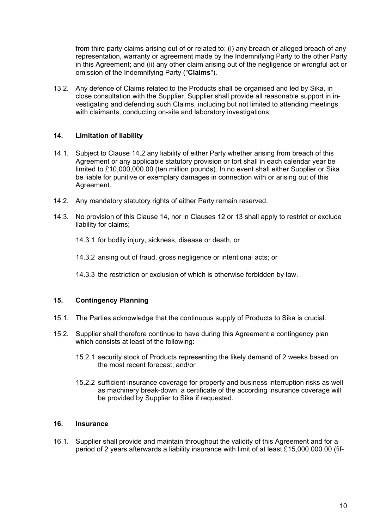from third party claims arising out of or related to: (i) any breach or alleged breach of any representation, warranty or agreement made by the Indemnifying Party to the other Party in this Agreement; and (ii) any other claim arising out of the negligence or wrongful act or omission of the Indemnifying Party ("**Claims**").

13.2. Any defence of Claims related to the Products shall be organised and led by Sika, in close consultation with the Supplier. Supplier shall provide all reasonable support in investigating and defending such Claims, including but not limited to attending meetings with claimants, conducting on-site and laboratory investigations.

# **14. Limitation of liability**

- 14.1. Subject to Clause 14.2 any liability of either Party whether arising from breach of this Agreement or any applicable statutory provision or tort shall in each calendar year be limited to £10,000,000.00 (ten million pounds). In no event shall either Supplier or Sika be liable for punitive or exemplary damages in connection with or arising out of this Agreement.
- 14.2. Any mandatory statutory rights of either Party remain reserved.
- 14.3. No provision of this Clause 14, nor in Clauses 12 or 13 shall apply to restrict or exclude liability for claims;

14.3.1 for bodily injury, sickness, disease or death, or

14.3.2 arising out of fraud, gross negligence or intentional acts; or

14.3.3 the restriction or exclusion of which is otherwise forbidden by law.

## **15. Contingency Planning**

- 15.1. The Parties acknowledge that the continuous supply of Products to Sika is crucial.
- 15.2. Supplier shall therefore continue to have during this Agreement a contingency plan which consists at least of the following:
	- 15.2.1 security stock of Products representing the likely demand of 2 weeks based on the most recent forecast; and/or
	- 15.2.2 sufficient insurance coverage for property and business interruption risks as well as machinery break-down; a certificate of the according insurance coverage will be provided by Supplier to Sika if requested.

### **16. Insurance**

16.1. Supplier shall provide and maintain throughout the validity of this Agreement and for a period of 2 years afterwards a liability insurance with limit of at least £15,000,000.00 (fif-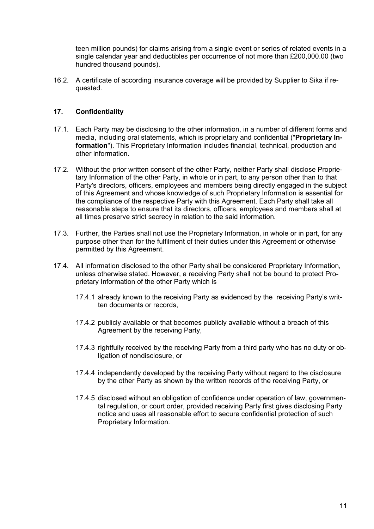teen million pounds) for claims arising from a single event or series of related events in a single calendar year and deductibles per occurrence of not more than £200,000.00 (two hundred thousand pounds).

16.2. A certificate of according insurance coverage will be provided by Supplier to Sika if requested.

# **17. Confidentiality**

- 17.1. Each Party may be disclosing to the other information, in a number of different forms and media, including oral statements, which is proprietary and confidential ("**Proprietary Information**"). This Proprietary Information includes financial, technical, production and other information.
- 17.2. Without the prior written consent of the other Party, neither Party shall disclose Proprietary Information of the other Party, in whole or in part, to any person other than to that Party's directors, officers, employees and members being directly engaged in the subject of this Agreement and whose knowledge of such Proprietary Information is essential for the compliance of the respective Party with this Agreement. Each Party shall take all reasonable steps to ensure that its directors, officers, employees and members shall at all times preserve strict secrecy in relation to the said information.
- 17.3. Further, the Parties shall not use the Proprietary Information, in whole or in part, for any purpose other than for the fulfilment of their duties under this Agreement or otherwise permitted by this Agreement.
- 17.4. All information disclosed to the other Party shall be considered Proprietary Information, unless otherwise stated. However, a receiving Party shall not be bound to protect Proprietary Information of the other Party which is
	- 17.4.1 already known to the receiving Party as evidenced by the receiving Party's written documents or records,
	- 17.4.2 publicly available or that becomes publicly available without a breach of this Agreement by the receiving Party,
	- 17.4.3 rightfully received by the receiving Party from a third party who has no duty or obligation of nondisclosure, or
	- 17.4.4 independently developed by the receiving Party without regard to the disclosure by the other Party as shown by the written records of the receiving Party, or
	- 17.4.5 disclosed without an obligation of confidence under operation of law, governmental regulation, or court order, provided receiving Party first gives disclosing Party notice and uses all reasonable effort to secure confidential protection of such Proprietary Information.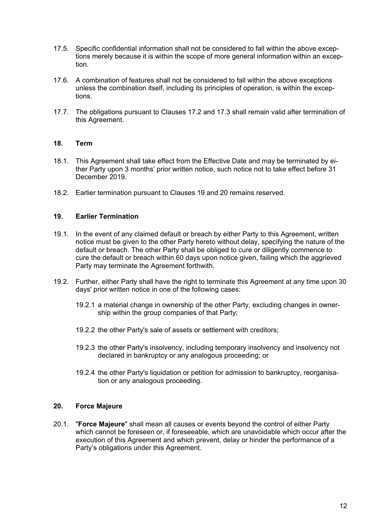- 17.5. Specific confidential information shall not be considered to fall within the above exceptions merely because it is within the scope of more general information within an exception.
- 17.6. A combination of features shall not be considered to fall within the above exceptions unless the combination itself, including its principles of operation, is within the exceptions.
- 17.7. The obligations pursuant to Clauses 17.2 and 17.3 shall remain valid after termination of this Agreement.

### **18. Term**

- 18.1. This Agreement shall take effect from the Effective Date and may be terminated by either Party upon 3 months' prior written notice, such notice not to take effect before 31 December 2019.
- 18.2. Earlier termination pursuant to Clauses 19 and 20 remains reserved.

### **19. Earlier Termination**

- 19.1. In the event of any claimed default or breach by either Party to this Agreement, written notice must be given to the other Party hereto without delay, specifying the nature of the default or breach. The other Party shall be obliged to cure or diligently commence to cure the default or breach within 60 days upon notice given, failing which the aggrieved Party may terminate the Agreement forthwith.
- 19.2. Further, either Party shall have the right to terminate this Agreement at any time upon 30 days' prior written notice in one of the following cases:
	- 19.2.1 a material change in ownership of the other Party, excluding changes in ownership within the group companies of that Party;
	- 19.2.2 the other Party's sale of assets or settlement with creditors;
	- 19.2.3 the other Party's insolvency, including temporary insolvency and insolvency not declared in bankruptcy or any analogous proceeding; or
	- 19.2.4 the other Party's liquidation or petition for admission to bankruptcy, reorganisation or any analogous proceeding.

### **20. Force Majeure**

20.1. "**Force Majeure**" shall mean all causes or events beyond the control of either Party which cannot be foreseen or, if foreseeable, which are unavoidable which occur after the execution of this Agreement and which prevent, delay or hinder the performance of a Party's obligations under this Agreement.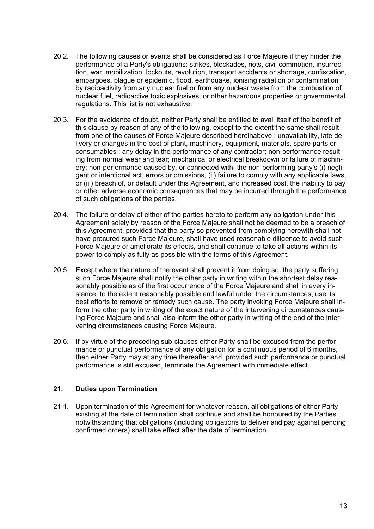- 20.2. The following causes or events shall be considered as Force Majeure if they hinder the performance of a Party's obligations: strikes, blockades, riots, civil commotion, insurrection, war, mobilization, lockouts, revolution, transport accidents or shortage, confiscation, embargoes, plague or epidemic, flood, earthquake, ionising radiation or contamination by radioactivity from any nuclear fuel or from any nuclear waste from the combustion of nuclear fuel, radioactive toxic explosives, or other hazardous properties or governmental regulations. This list is not exhaustive.
- 20.3. For the avoidance of doubt, neither Party shall be entitled to avail itself of the benefit of this clause by reason of any of the following, except to the extent the same shall result from one of the causes of Force Majeure described hereinabove : unavailability, late delivery or changes in the cost of plant, machinery, equipment, materials, spare parts or consumables ; any delay in the performance of any contractor; non-performance resulting from normal wear and tear; mechanical or electrical breakdown or failure of machinery; non-performance caused by, or connected with, the non-performing party's (i) negligent or intentional act, errors or omissions, (ii) failure to comply with any applicable laws, or (iii) breach of, or default under this Agreement, and increased cost, the inability to pay or other adverse economic consequences that may be incurred through the performance of such obligations of the parties.
- 20.4. The failure or delay of either of the parties hereto to perform any obligation under this Agreement solely by reason of the Force Majeure shall not be deemed to be a breach of this Agreement, provided that the party so prevented from complying herewith shall not have procured such Force Majeure, shall have used reasonable diligence to avoid such Force Majeure or ameliorate its effects, and shall continue to take all actions within its power to comply as fully as possible with the terms of this Agreement.
- 20.5. Except where the nature of the event shall prevent it from doing so, the party suffering such Force Majeure shall notify the other party in writing within the shortest delay reasonably possible as of the first occurrence of the Force Majeure and shall in every instance, to the extent reasonably possible and lawful under the circumstances, use its best efforts to remove or remedy such cause. The party invoking Force Majeure shall inform the other party in writing of the exact nature of the intervening circumstances causing Force Majeure and shall also inform the other party in writing of the end of the intervening circumstances causing Force Majeure.
- 20.6. If by virtue of the preceding sub-clauses either Party shall be excused from the performance or punctual performance of any obligation for a continuous period of 6 months, then either Party may at any time thereafter and, provided such performance or punctual performance is still excused, terminate the Agreement with immediate effect.

# **21. Duties upon Termination**

21.1. Upon termination of this Agreement for whatever reason, all obligations of either Party existing at the date of termination shall continue and shall be honoured by the Parties notwithstanding that obligations (including obligations to deliver and pay against pending confirmed orders) shall take effect after the date of termination.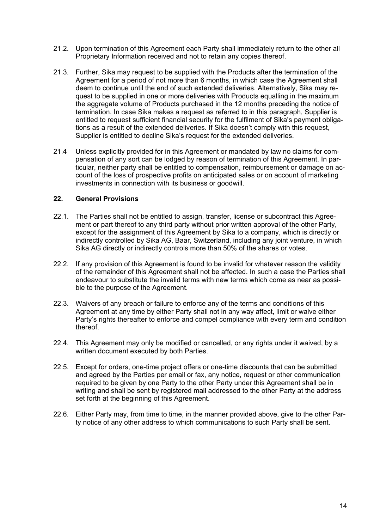- 21.2. Upon termination of this Agreement each Party shall immediately return to the other all Proprietary Information received and not to retain any copies thereof.
- 21.3. Further, Sika may request to be supplied with the Products after the termination of the Agreement for a period of not more than 6 months, in which case the Agreement shall deem to continue until the end of such extended deliveries. Alternatively, Sika may request to be supplied in one or more deliveries with Products equalling in the maximum the aggregate volume of Products purchased in the 12 months preceding the notice of termination. In case Sika makes a request as referred to in this paragraph, Supplier is entitled to request sufficient financial security for the fulfilment of Sika's payment obligations as a result of the extended deliveries. If Sika doesn't comply with this request, Supplier is entitled to decline Sika's request for the extended deliveries.
- 21.4 Unless explicitly provided for in this Agreement or mandated by law no claims for compensation of any sort can be lodged by reason of termination of this Agreement. In particular, neither party shall be entitled to compensation, reimbursement or damage on account of the loss of prospective profits on anticipated sales or on account of marketing investments in connection with its business or goodwill.

# **22. General Provisions**

- 22.1. The Parties shall not be entitled to assign, transfer, license or subcontract this Agreement or part thereof to any third party without prior written approval of the other Party, except for the assignment of this Agreement by Sika to a company, which is directly or indirectly controlled by Sika AG, Baar, Switzerland, including any joint venture, in which Sika AG directly or indirectly controls more than 50% of the shares or votes.
- 22.2. If any provision of this Agreement is found to be invalid for whatever reason the validity of the remainder of this Agreement shall not be affected. In such a case the Parties shall endeavour to substitute the invalid terms with new terms which come as near as possible to the purpose of the Agreement.
- 22.3. Waivers of any breach or failure to enforce any of the terms and conditions of this Agreement at any time by either Party shall not in any way affect, limit or waive either Party's rights thereafter to enforce and compel compliance with every term and condition thereof.
- 22.4. This Agreement may only be modified or cancelled, or any rights under it waived, by a written document executed by both Parties.
- 22.5. Except for orders, one-time project offers or one-time discounts that can be submitted and agreed by the Parties per email or fax, any notice, request or other communication required to be given by one Party to the other Party under this Agreement shall be in writing and shall be sent by registered mail addressed to the other Party at the address set forth at the beginning of this Agreement.
- 22.6. Either Party may, from time to time, in the manner provided above, give to the other Party notice of any other address to which communications to such Party shall be sent.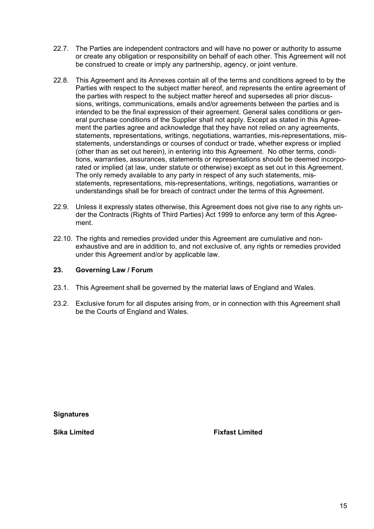- 22.7. The Parties are independent contractors and will have no power or authority to assume or create any obligation or responsibility on behalf of each other. This Agreement will not be construed to create or imply any partnership, agency, or joint venture.
- 22.8. This Agreement and its Annexes contain all of the terms and conditions agreed to by the Parties with respect to the subject matter hereof, and represents the entire agreement of the parties with respect to the subject matter hereof and supersedes all prior discussions, writings, communications, emails and/or agreements between the parties and is intended to be the final expression of their agreement. General sales conditions or general purchase conditions of the Supplier shall not apply. Except as stated in this Agreement the parties agree and acknowledge that they have not relied on any agreements, statements, representations, writings, negotiations, warranties, mis-representations, misstatements, understandings or courses of conduct or trade, whether express or implied (other than as set out herein), in entering into this Agreement. No other terms, conditions, warranties, assurances, statements or representations should be deemed incorporated or implied (at law, under statute or otherwise) except as set out in this Agreement. The only remedy available to any party in respect of any such statements, misstatements, representations, mis-representations, writings, negotiations, warranties or understandings shall be for breach of contract under the terms of this Agreement.
- 22.9. Unless it expressly states otherwise, this Agreement does not give rise to any rights under the Contracts (Rights of Third Parties) Act 1999 to enforce any term of this Agreement.
- 22.10. The rights and remedies provided under this Agreement are cumulative and nonexhaustive and are in addition to, and not exclusive of, any rights or remedies provided under this Agreement and/or by applicable law.

### **23. Governing Law / Forum**

- 23.1. This Agreement shall be governed by the material laws of England and Wales.
- 23.2. Exclusive forum for all disputes arising from, or in connection with this Agreement shall be the Courts of England and Wales.

**Signatures** 

**Sika Limited Fixfast Limited**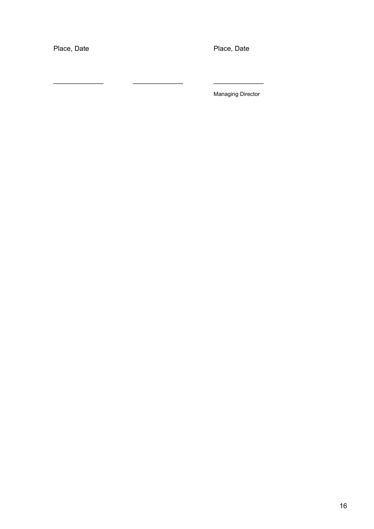Place, Date **Place**, Date

\_\_\_\_\_\_\_\_\_\_\_\_\_ \_\_\_\_\_\_\_\_\_\_\_\_\_ \_\_\_\_\_\_\_\_\_\_\_\_\_

Managing Director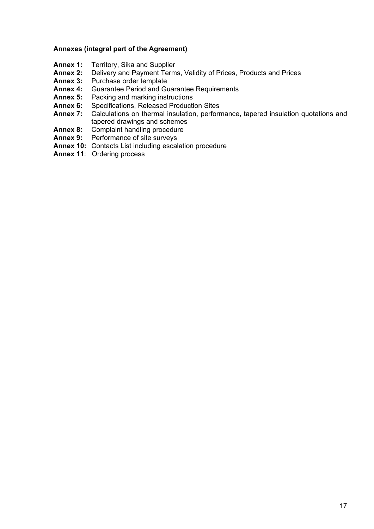# **Annexes (integral part of the Agreement)**

- **Annex 1:** Territory, Sika and Supplier
- **Annex 2:** Delivery and Payment Terms, Validity of Prices, Products and Prices
- **Annex 3:** Purchase order template
- **Annex 4:** Guarantee Period and Guarantee Requirements
- **Annex 5:** Packing and marking instructions
- **Annex 6:** Specifications, Released Production Sites
- Annex 7: Calculations on thermal insulation, performance, tapered insulation quotations and tapered drawings and schemes
- **Annex 8:** Complaint handling procedure
- **Annex 9:** Performance of site surveys
- **Annex 10:** Contacts List including escalation procedure
- **Annex 11**: Ordering process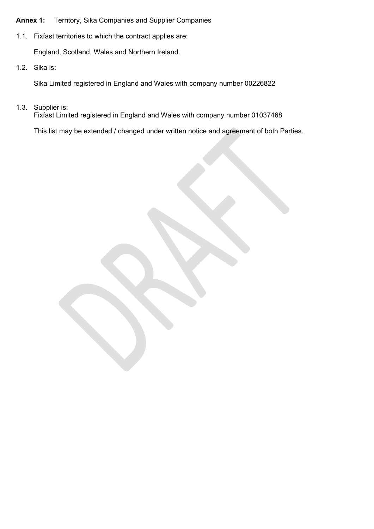- **Annex 1:** Territory, Sika Companies and Supplier Companies
- 1.1. Fixfast territories to which the contract applies are:

England, Scotland, Wales and Northern Ireland.

1.2. Sika is:

Sika Limited registered in England and Wales with company number 00226822

1.3. Supplier is:

Fixfast Limited registered in England and Wales with company number 01037468

This list may be extended / changed under written notice and agreement of both Parties.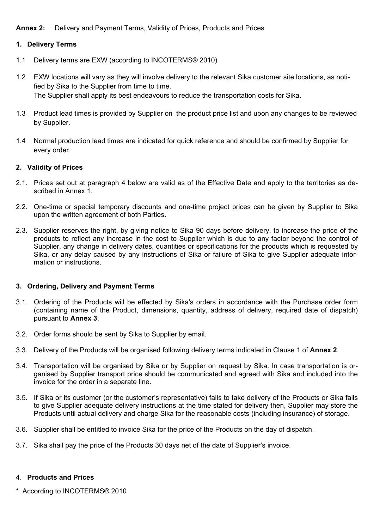**Annex 2:** Delivery and Payment Terms, Validity of Prices, Products and Prices

## **1. Delivery Terms**

- 1.1 Delivery terms are EXW (according to INCOTERMS® 2010)
- 1.2 EXW locations will vary as they will involve delivery to the relevant Sika customer site locations, as notified by Sika to the Supplier from time to time. The Supplier shall apply its best endeavours to reduce the transportation costs for Sika.
- 1.3 Product lead times is provided by Supplier on the product price list and upon any changes to be reviewed by Supplier.
- 1.4 Normal production lead times are indicated for quick reference and should be confirmed by Supplier for every order.

# **2. Validity of Prices**

- 2.1. Prices set out at paragraph 4 below are valid as of the Effective Date and apply to the territories as described in Annex 1.
- 2.2. One-time or special temporary discounts and one-time project prices can be given by Supplier to Sika upon the written agreement of both Parties.
- 2.3. Supplier reserves the right, by giving notice to Sika 90 days before delivery, to increase the price of the products to reflect any increase in the cost to Supplier which is due to any factor beyond the control of Supplier, any change in delivery dates, quantities or specifications for the products which is requested by Sika, or any delay caused by any instructions of Sika or failure of Sika to give Supplier adequate information or instructions.

### **3. Ordering, Delivery and Payment Terms**

- 3.1. Ordering of the Products will be effected by Sika's orders in accordance with the Purchase order form (containing name of the Product, dimensions, quantity, address of delivery, required date of dispatch) pursuant to **Annex 3**.
- 3.2. Order forms should be sent by Sika to Supplier by email.
- 3.3. Delivery of the Products will be organised following delivery terms indicated in Clause 1 of **Annex 2**.
- 3.4. Transportation will be organised by Sika or by Supplier on request by Sika. In case transportation is organised by Supplier transport price should be communicated and agreed with Sika and included into the invoice for the order in a separate line.
- 3.5. If Sika or its customer (or the customer's representative) fails to take delivery of the Products or Sika fails to give Supplier adequate delivery instructions at the time stated for delivery then, Supplier may store the Products until actual delivery and charge Sika for the reasonable costs (including insurance) of storage.
- 3.6. Supplier shall be entitled to invoice Sika for the price of the Products on the day of dispatch.
- 3.7. Sika shall pay the price of the Products 30 days net of the date of Supplier's invoice.

### 4. **Products and Prices**

\* According to INCOTERMS® 2010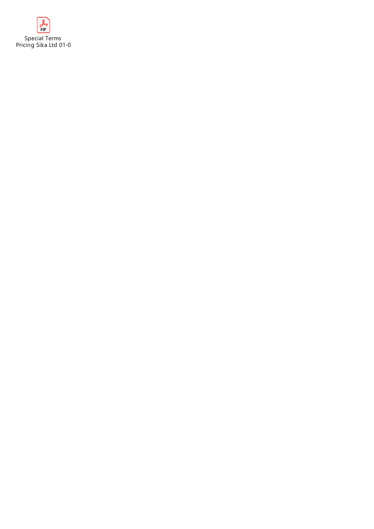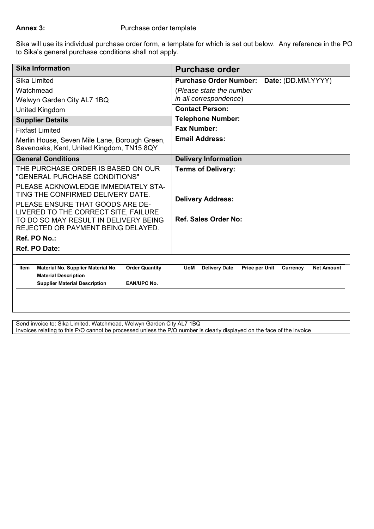Sika will use its individual purchase order form, a template for which is set out below. Any reference in the PO to Sika's general purchase conditions shall not apply.

| <b>Sika Information</b>                                                                                             | <b>Purchase order</b>                                                                        |
|---------------------------------------------------------------------------------------------------------------------|----------------------------------------------------------------------------------------------|
| <b>Sika Limited</b>                                                                                                 | Date: (DD.MM.YYYY)<br><b>Purchase Order Number:</b>                                          |
| Watchmead                                                                                                           | (Please state the number                                                                     |
| Welwyn Garden City AL7 1BQ                                                                                          | in all correspondence)                                                                       |
| United Kingdom                                                                                                      | <b>Contact Person:</b>                                                                       |
| <b>Supplier Details</b>                                                                                             | <b>Telephone Number:</b>                                                                     |
| <b>Fixfast Limited</b>                                                                                              | <b>Fax Number:</b>                                                                           |
| Merlin House, Seven Mile Lane, Borough Green,<br>Sevenoaks, Kent, United Kingdom, TN15 8QY                          | <b>Email Address:</b>                                                                        |
| <b>General Conditions</b>                                                                                           | <b>Delivery Information</b>                                                                  |
| THE PURCHASE ORDER IS BASED ON OUR<br>"GENERAL PURCHASE CONDITIONS"                                                 | <b>Terms of Delivery:</b>                                                                    |
| PLEASE ACKNOWLEDGE IMMEDIATELY STA-<br>TING THE CONFIRMED DELIVERY DATE.                                            |                                                                                              |
| PLEASE ENSURE THAT GOODS ARE DE-                                                                                    | <b>Delivery Address:</b>                                                                     |
| LIVERED TO THE CORRECT SITE, FAILURE<br>TO DO SO MAY RESULT IN DELIVERY BEING<br>REJECTED OR PAYMENT BEING DELAYED. | <b>Ref. Sales Order No:</b>                                                                  |
| Ref. PO No.:                                                                                                        |                                                                                              |
| Ref. PO Date:                                                                                                       |                                                                                              |
|                                                                                                                     |                                                                                              |
| Material No. Supplier Material No.<br><b>Order Quantity</b><br>Item                                                 | <b>UoM</b><br><b>Price per Unit</b><br><b>Delivery Date</b><br>Currency<br><b>Net Amount</b> |
| <b>Material Description</b><br><b>Supplier Material Description</b><br><b>EAN/UPC No.</b>                           |                                                                                              |
|                                                                                                                     |                                                                                              |

Send invoice to: Sika Limited, Watchmead, Welwyn Garden City AL7 1BQ Invoices relating to this P/O cannot be processed unless the P/O number is clearly displayed on the face of the invoice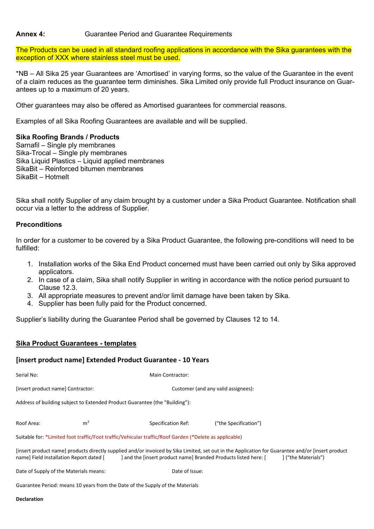### **Annex 4:** Guarantee Period and Guarantee Requirements

The Products can be used in all standard roofing applications in accordance with the Sika guarantees with the exception of XXX where stainless steel must be used.

\*NB – All Sika 25 year Guarantees are 'Amortised' in varying forms, so the value of the Guarantee in the event of a claim reduces as the guarantee term diminishes. Sika Limited only provide full Product insurance on Guarantees up to a maximum of 20 years.

Other guarantees may also be offered as Amortised guarantees for commercial reasons.

Examples of all Sika Roofing Guarantees are available and will be supplied.

### **Sika Roofing Brands / Products**

Sarnafil – Single ply membranes Sika-Trocal – Single ply membranes Sika Liquid Plastics – Liquid applied membranes SikaBit – Reinforced bitumen membranes SikaBit – Hotmelt

Sika shall notify Supplier of any claim brought by a customer under a Sika Product Guarantee. Notification shall occur via a letter to the address of Supplier.

### **Preconditions**

In order for a customer to be covered by a Sika Product Guarantee, the following pre-conditions will need to be fulfilled:

- 1. Installation works of the Sika End Product concerned must have been carried out only by Sika approved applicators.
- 2. In case of a claim, Sika shall notify Supplier in writing in accordance with the notice period pursuant to Clause 12.3.
- 3. All appropriate measures to prevent and/or limit damage have been taken by Sika.
- 4. Supplier has been fully paid for the Product concerned.

Supplier's liability during the Guarantee Period shall be governed by Clauses 12 to 14.

### **Sika Product Guarantees - templates**

### **[insert product name] Extended Product Guarantee ‐ 10 Years**

| Serial No:                              |                | <b>Main Contractor:</b>                                                                                                                                                                                             |                                     |                     |
|-----------------------------------------|----------------|---------------------------------------------------------------------------------------------------------------------------------------------------------------------------------------------------------------------|-------------------------------------|---------------------|
| [insert product name] Contractor:       |                |                                                                                                                                                                                                                     | Customer (and any valid assignees): |                     |
|                                         |                | Address of building subject to Extended Product Guarantee (the "Building"):                                                                                                                                         |                                     |                     |
| Roof Area:                              | m <sup>2</sup> | <b>Specification Ref:</b>                                                                                                                                                                                           | ("the Specification")               |                     |
|                                         |                | Suitable for: *Limited foot traffic/Foot traffic/Vehicular traffic/Roof Garden (*Delete as applicable)                                                                                                              |                                     |                     |
| name] Field Installation Report dated [ |                | [insert product name] products directly supplied and/or invoiced by Sika Limited, set out in the Application for Guarantee and/or [insert product]<br>and the linsert product name] Branded Products listed here: [ |                                     | l ("the Materials") |
| Date of Supply of the Materials means:  |                | Date of Issue:                                                                                                                                                                                                      |                                     |                     |

Guarantee Period: means 10 years from the Date of the Supply of the Materials

**Declaration**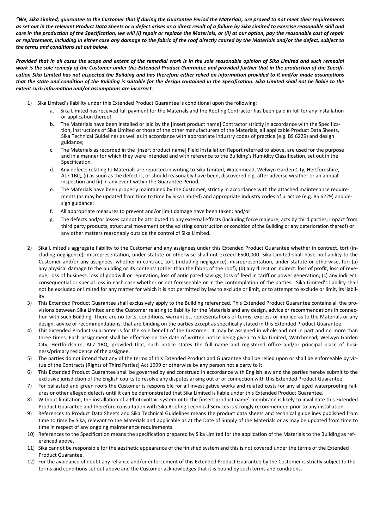*"We, Sika Limited, guarantee to the Customer that if during the Guarantee Period the Materials, are proved to not meet their requirements as set out in the relevant Product Data Sheets or a defect arises as a direct result of a failure by Sika Limited to exercise reasonable skill and care in the production of the Specification, we will (i) repair or replace the Materials, or (ii) at our option, pay the reasonable cost of repair or replacement, including in either case any damage to the fabric of the roof directly caused by the Materials and/or the defect, subject to the terms and conditions set out below.* 

- 1) Sika Limited's liability under this Extended Product Guarantee is conditional upon the following:
	- a. Sika Limited has received full payment for the Materials and the Roofing Contractor has been paid in full for any installation or application thereof.
	- b. The Materials have been installed or laid by the [insert product name] Contractor strictly in accordance with the Specification, instructions of Sika Limited or those of the other manufacturers of the Materials, all applicable Product Data Sheets, Sika Technical Guidelines as well as in accordance with appropriate industry codes of practice (e.g. BS 6229) and design guidance;
	- c. The Materials as recorded in the [insert product name] Field Installation Report referred to above, are used for the purpose and in a manner for which they were intended and with reference to the Building's Humidity Classification, set out in the Specification.
	- d. Any defects relating to Materials are reported in writing to Sika Limited, Watchmead, Welwyn Garden City, Hertfordshire, AL7 1BQ, (i) as soon as the defect is, or should reasonably have been, discovered e.g. after adverse weather or an annual inspection and (ii) in any event within the Guarantee Period;
	- e. The Materials have been properly maintained by the Customer, strictly in accordance with the attached maintenance requirements (as may be updated from time to time by Sika Limited) and appropriate industry codes of practice (e.g. BS 6229) and design guidance;
	- f. All appropriate measures to prevent and/or limit damage have been taken; and/or
	- g. The defects and/or losses cannot be attributed to any external effects (including force majeure, acts by third parties, impact from third party products, structural movement or the existing construction or condition of the Building or any deterioration thereof) or any other matters reasonably outside the control of Sika Limited.
- 2) Sika Limited's aggregate liability to the Customer and any assignees under this Extended Product Guarantee whether in contract, tort (including negligence), misrepresentation, under statute or otherwise shall not exceed £500,000. Sika Limited shall have no liability to the Customer and/or any assignees, whether in contract, tort (including negligence), misrepresentation, under statute or otherwise, for: (a) any physical damage to the building or its contents (other than the fabric of the roof); (b) any direct or indirect: loss of profit, loss of revenue, loss of business, loss of goodwill or reputation, loss of anticipated savings, loss of feed in tariff or power generation; (c) any indirect, consequential or special loss in each case whether or not foreseeable or in the contemplation of the parties. Sika Limited's liability shall not be excluded or limited for any matter for which it is not permitted by law to exclude or limit, or to attempt to exclude or limit, its liability.
- 3) This Extended Product Guarantee shall exclusively apply to the Building referenced. This Extended Product Guarantee contains all the pro‐ visions between Sika Limited and the Customer relating to liability for the Materials and any design, advice or recommendations in connec‐ tion with such Building. There are no torts, conditions, warranties, representations or terms, express or implied as to the Materials or any design, advice or recommendations, that are binding on the parties except as specifically stated in this Extended Product Guarantee.
- 4) This Extended Product Guarantee is for the sole benefit of the Customer. It may be assigned in whole and not in part and no more than three times. Each assignment shall be effective on the date of written notice being given to Sika Limited, Watchmead, Welwyn Garden City, Hertfordshire, AL7 1BQ, provided that, such notice states the full name and registered office and/or principal place of business/primary residence of the assignee.
- 5) The parties do not intend that any of the terms of this Extended Product and Guarantee shall be relied upon or shall be enforceable by virtue of the Contracts (Rights of Third Parties) Act 1999 or otherwise by any person not a party to it.
- 6) This Extended Product Guarantee shall be governed by and construed in accordance with English law and the parties hereby submit to the exclusive jurisdiction of the English courts to resolve any disputes arising out of or connection with this Extended Product Guarantee.
- 7) For ballasted and green roofs the Customer is responsible for all investigative works and related costs for any alleged waterproofing fail‐ ures or other alleged defects until it can be demonstrated that Sika Limited is liable under this Extended Product Guarantee.
- 8) Without limitation, the installation of a Photovoltaic system onto the [insert product name] membrane is likely to invalidate this Extended Product Guarantee and therefore consultation with Sika Roofing Technical Services is strongly recommended prior to any installation.
- 9) References to Product Data Sheets and Sika Technical Guidelines means the product data sheets and technical guidelines published from time to time by Sika, relevant to the Materials and applicable as at the Date of Supply of the Materials or as may be updated from time to time in respect of any ongoing maintenance requirements.
- 10) References to the Specification means the specification prepared by Sika Limited for the application of the Materials to the Building as ref‐ erenced above.
- 11) Sika cannot be responsible for the aesthetic appearance of the finished system and this is not covered under the terms of the Extended Product Guarantee.
- 12) For the avoidance of doubt any reliance and/or enforcement of this Extended Product Guarantee by the Customer is strictly subject to the terms and conditions set out above and the Customer acknowledges that it is bound by such terms and conditions.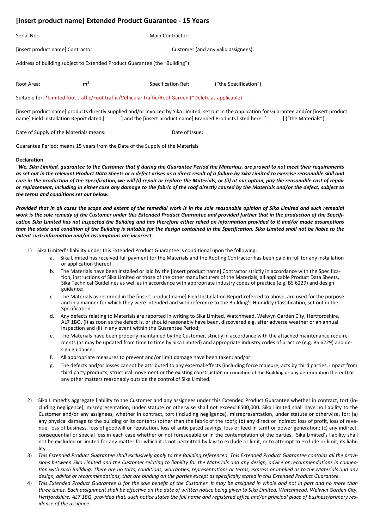### **[insert product name] Extended Product Guarantee ‐ 15 Years**

| Serial No:<br>Main Contractor:    |                |                                                                             |                                     |
|-----------------------------------|----------------|-----------------------------------------------------------------------------|-------------------------------------|
| [insert product name] Contractor: |                |                                                                             | Customer (and any valid assignees): |
|                                   |                | Address of building subject to Extended Product Guarantee (the "Building"): |                                     |
| Roof Area:                        | m <sup>2</sup> | Specification Ref:                                                          | ("the Specification")               |

#### Suitable for: \*Limited foot traffic/Foot traffic/Vehicular traffic/Roof Garden (\*Delete as applicable)

[insert product name] products directly supplied and/or invoiced by Sika Limited, set out in the Application for Guarantee and/or [insert product name] Field Installation Report dated [ ] and the [insert product name] Branded Products listed here: [ ] ("the Materials")

Date of Supply of the Materials means: Date of Issue: Date of Issue:

Guarantee Period: means 15 years from the Date of the Supply of the Materials

#### **Declaration**

*"We, Sika Limited, guarantee to the Customer that if during the Guarantee Period the Materials, are proved to not meet their requirements as set out in the relevant Product Data Sheets or a defect arises as a direct result of a failure by Sika Limited to exercise reasonable skill and care in the production of the Specification, we will (i) repair or replace the Materials, or (ii) at our option, pay the reasonable cost of repair or replacement, including in either case any damage to the fabric of the roof directly caused by the Materials and/or the defect, subject to the terms and conditions set out below.* 

- 1) Sika Limited's liability under this Extended Product Guarantee is conditional upon the following:
	- a. Sika Limited has received full payment for the Materials and the Roofing Contractor has been paid in full for any installation or application thereof.
	- b. The Materials have been installed or laid by the [insert product name] Contractor strictly in accordance with the Specification, instructions of Sika Limited or those of the other manufacturers of the Materials, all applicable Product Data Sheets, Sika Technical Guidelines as well as in accordance with appropriate industry codes of practice (e.g. BS 6229) and design guidance;
	- c. The Materials as recorded in the [insert product name] Field Installation Report referred to above, are used for the purpose and in a manner for which they were intended and with reference to the Building's Humidity Classification, set out in the Specification.
	- d. Any defects relating to Materials are reported in writing to Sika Limited, Watchmead, Welwyn Garden City, Hertfordshire, AL7 1BQ, (i) as soon as the defect is, or should reasonably have been, discovered e.g. after adverse weather or an annual inspection and (ii) in any event within the Guarantee Period;
	- e. The Materials have been properly maintained by the Customer, strictly in accordance with the attached maintenance require‐ ments (as may be updated from time to time by Sika Limited) and appropriate industry codes of practice (e.g. BS 6229) and design guidance;
	- f. All appropriate measures to prevent and/or limit damage have been taken; and/or
	- g. The defects and/or losses cannot be attributed to any external effects (including force majeure, acts by third parties, impact from third party products, structural movement or the existing construction or condition of the Building or any deterioration thereof) or any other matters reasonably outside the control of Sika Limited.
- 2) Sika Limited's aggregate liability to the Customer and any assignees under this Extended Product Guarantee whether in contract, tort (including negligence), misrepresentation, under statute or otherwise shall not exceed £500,000. Sika Limited shall have no liability to the Customer and/or any assignees, whether in contract, tort (including negligence), misrepresentation, under statute or otherwise, for: (a) any physical damage to the building or its contents (other than the fabric of the roof); (b) any direct or indirect: loss of profit, loss of revenue, loss of business, loss of goodwill or reputation, loss of anticipated savings, loss of feed in tariff or power generation; (c) any indirect, consequential or special loss in each case whether or not foreseeable or in the contemplation of the parties. Sika Limited's liability shall not be excluded or limited for any matter for which it is not permitted by law to exclude or limit, or to attempt to exclude or limit, its liability.
- 3) *This Extended Product Guarantee shall exclusively apply to the Building referenced. This Extended Product Guarantee contains all the provi‐ sions between Sika Limited and the Customer relating to liability for the Materials and any design, advice or recommendations in connec‐ tion with such Building. There are no torts, conditions, warranties, representations or terms, express or implied as to the Materials and any design, advice or recommendations, that are binding on the parties except as specifically stated in this Extended Product Guarantee.*
- 4) *This Extended Product Guarantee is for the sole benefit of the Customer. It may be assigned in whole and not in part and no more than three times. Each assignment shall be effective on the date of written notice being given to Sika Limited, Watchmead, Welwyn Garden City, Hertfordshire, AL7 1BQ, provided that, such notice states the full name and registered office and/or principal place of business/primary res‐ idence of the assignee.*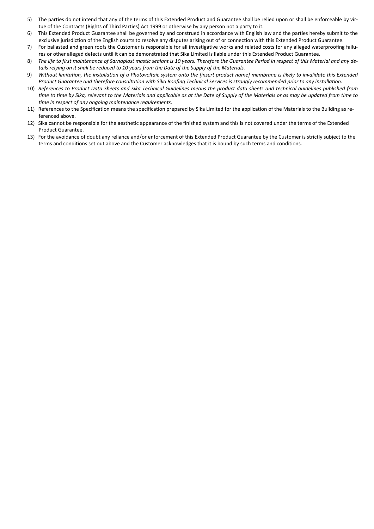- 5) The parties do not intend that any of the terms of this Extended Product and Guarantee shall be relied upon or shall be enforceable by virtue of the Contracts (Rights of Third Parties) Act 1999 or otherwise by any person not a party to it.
- 6) This Extended Product Guarantee shall be governed by and construed in accordance with English law and the parties hereby submit to the exclusive jurisdiction of the English courts to resolve any disputes arising out of or connection with this Extended Product Guarantee.
- 7) For ballasted and green roofs the Customer is responsible for all investigative works and related costs for any alleged waterproofing failures or other alleged defects until it can be demonstrated that Sika Limited is liable under this Extended Product Guarantee.
- 8) *The life to first maintenance of Sarnaplast mastic sealant is 10 years. Therefore the Guarantee Period in respect of this Material and any de‐ tails relying on it shall be reduced to 10 years from the Date of the Supply of the Materials.*
- 9) *Without limitation, the installation of a Photovoltaic system onto the [insert product name] membrane is likely to invalidate this Extended Product Guarantee and therefore consultation with Sika Roofing Technical Services is strongly recommended prior to any installation.*
- 10) *References to Product Data Sheets and Sika Technical Guidelines means the product data sheets and technical guidelines published from time to time by Sika, relevant to the Materials and applicable as at the Date of Supply of the Materials or as may be updated from time to time in respect of any ongoing maintenance requirements.*
- 11) References to the Specification means the specification prepared by Sika Limited for the application of the Materials to the Building as referenced above.
- 12) Sika cannot be responsible for the aesthetic appearance of the finished system and this is not covered under the terms of the Extended Product Guarantee.
- 13) For the avoidance of doubt any reliance and/or enforcement of this Extended Product Guarantee by the Customer is strictly subject to the terms and conditions set out above and the Customer acknowledges that it is bound by such terms and conditions.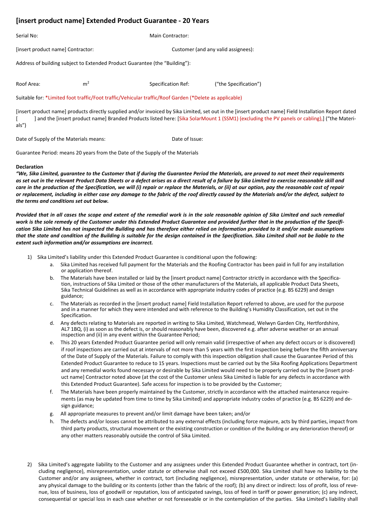### **[insert product name] Extended Product Guarantee ‐ 20 Years**

| Serial No:                        |                | Main Contractor:                                                            |                                     |
|-----------------------------------|----------------|-----------------------------------------------------------------------------|-------------------------------------|
| [insert product name] Contractor: |                |                                                                             | Customer (and any valid assignees): |
|                                   |                | Address of building subject to Extended Product Guarantee (the "Building"): |                                     |
| Roof Area:                        | m <sup>2</sup> | Specification Ref:                                                          | ("the Specification")               |

#### Suitable for: \*Limited foot traffic/Foot traffic/Vehicular traffic/Roof Garden (\*Delete as applicable)

[insert product name] products directly supplied and/or invoiced by Sika Limited, set out in the [insert product name] Field Installation Report dated [ and the [insert product name] Branded Products listed here: [Sika SolarMount 1 (SSM1) (excluding the PV panels or cabling),] ("the Materials")

Date of Supply of the Materials means: The Materials means are set of Issue:

Guarantee Period: means 20 years from the Date of the Supply of the Materials

#### **Declaration**

*"We, Sika Limited, guarantee to the Customer that if during the Guarantee Period the Materials, are proved to not meet their requirements as set out in the relevant Product Data Sheets or a defect arises as a direct result of a failure by Sika Limited to exercise reasonable skill and care in the production of the Specification, we will (i) repair or replace the Materials, or (ii) at our option, pay the reasonable cost of repair or replacement, including in either case any damage to the fabric of the roof directly caused by the Materials and/or the defect, subject to the terms and conditions set out below.* 

- 1) Sika Limited's liability under this Extended Product Guarantee is conditional upon the following:
	- a. Sika Limited has received full payment for the Materials and the Roofing Contractor has been paid in full for any installation or application thereof.
	- b. The Materials have been installed or laid by the [insert product name] Contractor strictly in accordance with the Specification, instructions of Sika Limited or those of the other manufacturers of the Materials, all applicable Product Data Sheets, Sika Technical Guidelines as well as in accordance with appropriate industry codes of practice (e.g. BS 6229) and design guidance;
	- c. The Materials as recorded in the [insert product name] Field Installation Report referred to above, are used for the purpose and in a manner for which they were intended and with reference to the Building's Humidity Classification, set out in the Specification.
	- d. Any defects relating to Materials are reported in writing to Sika Limited, Watchmead, Welwyn Garden City, Hertfordshire, AL7 1BQ, (i) as soon as the defect is, or should reasonably have been, discovered e.g. after adverse weather or an annual inspection and (ii) in any event within the Guarantee Period;
	- e. This 20 years Extended Product Guarantee period will only remain valid (irrespective of when any defect occurs or is discovered) if roof inspections are carried out at intervals of not more than 5 years with the first inspection being before the fifth anniversary of the Date of Supply of the Materials. Failure to comply with this inspection obligation shall cause the Guarantee Period of this Extended Product Guarantee to reduce to 15 years. Inspections must be carried out by the Sika Roofing Applications Department and any remedial works found necessary or desirable by Sika Limited would need to be properly carried out by the [insert prod‐ uct name] Contractor noted above (at the cost of the Customer unless Sika Limited is liable for any defects in accordance with this Extended Product Guarantee). Safe access for inspection is to be provided by the Customer;
	- f. The Materials have been properly maintained by the Customer, strictly in accordance with the attached maintenance require‐ ments (as may be updated from time to time by Sika Limited) and appropriate industry codes of practice (e.g. BS 6229) and design guidance;
	- g. All appropriate measures to prevent and/or limit damage have been taken; and/or
	- h. The defects and/or losses cannot be attributed to any external effects (including force majeure, acts by third parties, impact from third party products, structural movement or the existing construction or condition of the Building or any deterioration thereof) or any other matters reasonably outside the control of Sika Limited.
- 2) Sika Limited's aggregate liability to the Customer and any assignees under this Extended Product Guarantee whether in contract, tort (including negligence), misrepresentation, under statute or otherwise shall not exceed £500,000. Sika Limited shall have no liability to the Customer and/or any assignees, whether in contract, tort (including negligence), misrepresentation, under statute or otherwise, for: (a) any physical damage to the building or its contents (other than the fabric of the roof); (b) any direct or indirect: loss of profit, loss of revenue, loss of business, loss of goodwill or reputation, loss of anticipated savings, loss of feed in tariff or power generation; (c) any indirect, consequential or special loss in each case whether or not foreseeable or in the contemplation of the parties. Sika Limited's liability shall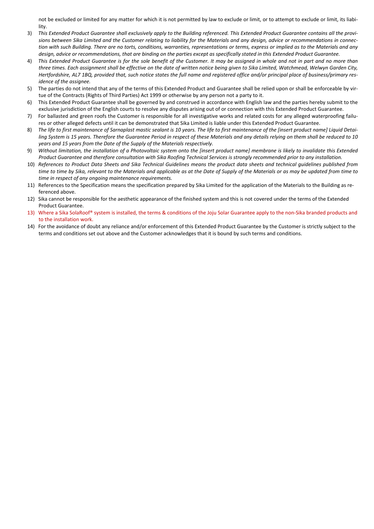not be excluded or limited for any matter for which it is not permitted by law to exclude or limit, or to attempt to exclude or limit, its liability.

- 3) *This Extended Product Guarantee shall exclusively apply to the Building referenced. This Extended Product Guarantee contains all the provi‐ sions between Sika Limited and the Customer relating to liability for the Materials and any design, advice or recommendations in connec‐ tion with such Building. There are no torts, conditions, warranties, representations or terms, express or implied as to the Materials and any design, advice or recommendations, that are binding on the parties except as specifically stated in this Extended Product Guarantee.*
- 4) *This Extended Product Guarantee is for the sole benefit of the Customer. It may be assigned in whole and not in part and no more than three times. Each assignment shall be effective on the date of written notice being given to Sika Limited, Watchmead, Welwyn Garden City, Hertfordshire, AL7 1BQ, provided that, such notice states the full name and registered office and/or principal place of business/primary res‐ idence of the assignee.*
- 5) The parties do not intend that any of the terms of this Extended Product and Guarantee shall be relied upon or shall be enforceable by virtue of the Contracts (Rights of Third Parties) Act 1999 or otherwise by any person not a party to it.
- 6) This Extended Product Guarantee shall be governed by and construed in accordance with English law and the parties hereby submit to the exclusive jurisdiction of the English courts to resolve any disputes arising out of or connection with this Extended Product Guarantee.
- 7) For ballasted and green roofs the Customer is responsible for all investigative works and related costs for any alleged waterproofing failures or other alleged defects until it can be demonstrated that Sika Limited is liable under this Extended Product Guarantee.
- 8) The life to first maintenance of Sarnaplast mastic sealant is 10 years. The life to first maintenance of the [insert product name] Liquid Detai*ling System is 15 years. Therefore the Guarantee Period in respect of these Materials and any details relying on them shall be reduced to 10 years and 15 years from the Date of the Supply of the Materials respectively.*
- 9) *Without limitation, the installation of a Photovoltaic system onto the [insert product name] membrane is likely to invalidate this Extended Product Guarantee and therefore consultation with Sika Roofing Technical Services is strongly recommended prior to any installation.*
- 10) *References to Product Data Sheets and Sika Technical Guidelines means the product data sheets and technical guidelines published from time to time by Sika, relevant to the Materials and applicable as at the Date of Supply of the Materials or as may be updated from time to time in respect of any ongoing maintenance requirements.*
- 11) References to the Specification means the specification prepared by Sika Limited for the application of the Materials to the Building as referenced above.
- 12) Sika cannot be responsible for the aesthetic appearance of the finished system and this is not covered under the terms of the Extended Product Guarantee.
- 13) Where a Sika SolaRoof® system is installed, the terms & conditions of the Joju Solar Guarantee apply to the non-Sika branded products and to the installation work.
- 14) For the avoidance of doubt any reliance and/or enforcement of this Extended Product Guarantee by the Customer is strictly subject to the terms and conditions set out above and the Customer acknowledges that it is bound by such terms and conditions.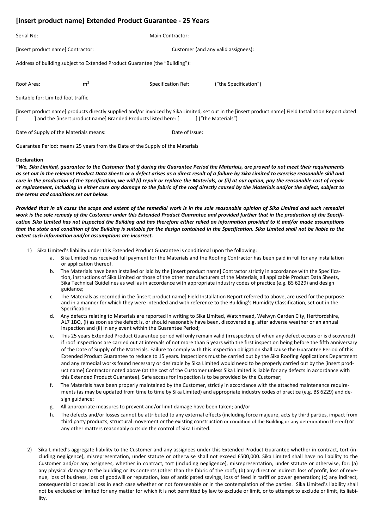### **[insert product name] Extended Product Guarantee ‐ 25 Years**

| Serial No:                                                                  | Main Contractor:                    |
|-----------------------------------------------------------------------------|-------------------------------------|
| [insert product name] Contractor:                                           | Customer (and any valid assignees): |
| Address of building subject to Extended Product Guarantee (the "Building"): |                                     |

Roof Area: m2 Specification Ref: ("the Specification")

Suitable for: Limited foot traffic

[insert product name] products directly supplied and/or invoiced by Sika Limited, set out in the [insert product name] Field Installation Report dated [  $\qquad$  ] and the [insert product name] Branded Products listed here: [  $\qquad$  ] ("the Materials")

Date of Supply of the Materials means: Date of Issue: Date of Issue:

Guarantee Period: means 25 years from the Date of the Supply of the Materials

#### **Declaration**

*"We, Sika Limited, guarantee to the Customer that if during the Guarantee Period the Materials, are proved to not meet their requirements as set out in the relevant Product Data Sheets or a defect arises as a direct result of a failure by Sika Limited to exercise reasonable skill and care in the production of the Specification, we will (i) repair or replace the Materials, or (ii) at our option, pay the reasonable cost of repair or replacement, including in either case any damage to the fabric of the roof directly caused by the Materials and/or the defect, subject to the terms and conditions set out below.* 

- 1) Sika Limited's liability under this Extended Product Guarantee is conditional upon the following:
	- a. Sika Limited has received full payment for the Materials and the Roofing Contractor has been paid in full for any installation or application thereof.
	- b. The Materials have been installed or laid by the [insert product name] Contractor strictly in accordance with the Specification, instructions of Sika Limited or those of the other manufacturers of the Materials, all applicable Product Data Sheets, Sika Technical Guidelines as well as in accordance with appropriate industry codes of practice (e.g. BS 6229) and design guidance;
	- c. The Materials as recorded in the [insert product name] Field Installation Report referred to above, are used for the purpose and in a manner for which they were intended and with reference to the Building's Humidity Classification, set out in the Specification.
	- d. Any defects relating to Materials are reported in writing to Sika Limited, Watchmead, Welwyn Garden City, Hertfordshire, AL7 1BQ, (i) as soon as the defect is, or should reasonably have been, discovered e.g. after adverse weather or an annual inspection and (ii) in any event within the Guarantee Period;
	- e. This 25 years Extended Product Guarantee period will only remain valid (irrespective of when any defect occurs or is discovered) if roof inspections are carried out at intervals of not more than 5 years with the first inspection being before the fifth anniversary of the Date of Supply of the Materials. Failure to comply with this inspection obligation shall cause the Guarantee Period of this Extended Product Guarantee to reduce to 15 years. Inspections must be carried out by the Sika Roofing Applications Department and any remedial works found necessary or desirable by Sika Limited would need to be properly carried out by the [insert prod‐ uct name] Contractor noted above (at the cost of the Customer unless Sika Limited is liable for any defects in accordance with this Extended Product Guarantee). Safe access for inspection is to be provided by the Customer;
	- f. The Materials have been properly maintained by the Customer, strictly in accordance with the attached maintenance require‐ ments (as may be updated from time to time by Sika Limited) and appropriate industry codes of practice (e.g. BS 6229) and design guidance;
	- g. All appropriate measures to prevent and/or limit damage have been taken; and/or
	- h. The defects and/or losses cannot be attributed to any external effects (including force majeure, acts by third parties, impact from third party products, structural movement or the existing construction or condition of the Building or any deterioration thereof) or any other matters reasonably outside the control of Sika Limited.
- 2) Sika Limited's aggregate liability to the Customer and any assignees under this Extended Product Guarantee whether in contract, tort (including negligence), misrepresentation, under statute or otherwise shall not exceed £500,000. Sika Limited shall have no liability to the Customer and/or any assignees, whether in contract, tort (including negligence), misrepresentation, under statute or otherwise, for: (a) any physical damage to the building or its contents (other than the fabric of the roof); (b) any direct or indirect: loss of profit, loss of revenue, loss of business, loss of goodwill or reputation, loss of anticipated savings, loss of feed in tariff or power generation; (c) any indirect, consequential or special loss in each case whether or not foreseeable or in the contemplation of the parties. Sika Limited's liability shall not be excluded or limited for any matter for which it is not permitted by law to exclude or limit, or to attempt to exclude or limit, its liability.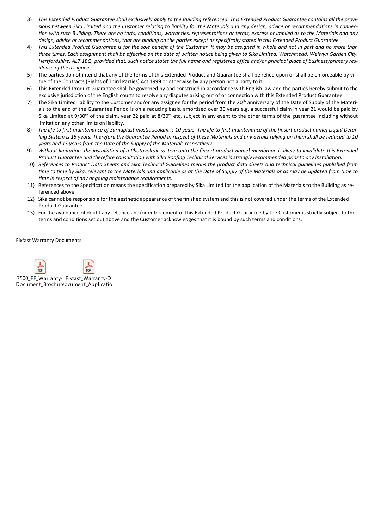- 3) *This Extended Product Guarantee shall exclusively apply to the Building referenced. This Extended Product Guarantee contains all the provi‐ sions between Sika Limited and the Customer relating to liability for the Materials and any design, advice or recommendations in connec‐ tion with such Building. There are no torts, conditions, warranties, representations or terms, express or implied as to the Materials and any design, advice or recommendations, that are binding on the parties except as specifically stated in this Extended Product Guarantee.*
- 4) *This Extended Product Guarantee is for the sole benefit of the Customer. It may be assigned in whole and not in part and no more than three times. Each assignment shall be effective on the date of written notice being given to Sika Limited, Watchmead, Welwyn Garden City, Hertfordshire, AL7 1BQ, provided that, such notice states the full name and registered office and/or principal place of business/primary res‐ idence of the assignee.*
- 5) The parties do not intend that any of the terms of this Extended Product and Guarantee shall be relied upon or shall be enforceable by virtue of the Contracts (Rights of Third Parties) Act 1999 or otherwise by any person not a party to it.
- 6) This Extended Product Guarantee shall be governed by and construed in accordance with English law and the parties hereby submit to the exclusive jurisdiction of the English courts to resolve any disputes arising out of or connection with this Extended Product Guarantee.
- 7) The Sika Limited liability to the Customer and/or any assignee for the period from the 20<sup>th</sup> anniversary of the Date of Supply of the Materials to the end of the Guarantee Period is on a reducing basis, amortised over 30 years e.g. a successful claim in year 21 would be paid by Sika Limited at  $9/30<sup>th</sup>$  of the claim, year 22 paid at  $8/30<sup>th</sup>$  etc, subject in any event to the other terms of the guarantee including without limitation any other limits on liability.
- 8) The life to first maintenance of Sarnaplast mastic sealant is 10 years. The life to first maintenance of the [insert product name] Liquid Detai*ling System is 15 years. Therefore the Guarantee Period in respect of these Materials and any details relying on them shall be reduced to 10 years and 15 years from the Date of the Supply of the Materials respectively.*
- 9) *Without limitation, the installation of a Photovoltaic system onto the [insert product name] membrane is likely to invalidate this Extended Product Guarantee and therefore consultation with Sika Roofing Technical Services is strongly recommended prior to any installation.*
- 10) *References to Product Data Sheets and Sika Technical Guidelines means the product data sheets and technical guidelines published from time to time by Sika, relevant to the Materials and applicable as at the Date of Supply of the Materials or as may be updated from time to time in respect of any ongoing maintenance requirements.*
- 11) References to the Specification means the specification prepared by Sika Limited for the application of the Materials to the Building as referenced above.
- 12) Sika cannot be responsible for the aesthetic appearance of the finished system and this is not covered under the terms of the Extended Product Guarantee.
- 13) For the avoidance of doubt any reliance and/or enforcement of this Extended Product Guarantee by the Customer is strictly subject to the terms and conditions set out above and the Customer acknowledges that it is bound by such terms and conditions.

Fixfast Warranty Documents





7500\_FF\_Warranty-Fixfast\_Warranty-D Document\_Brochure ocument\_Applicatio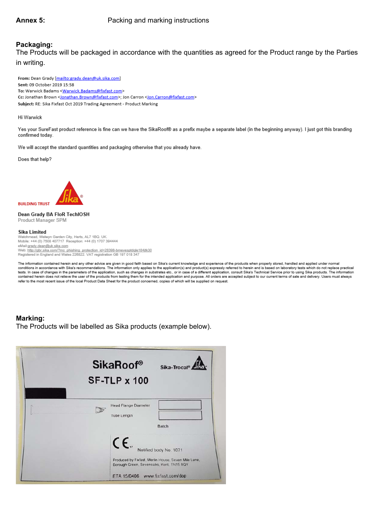# **Packaging:**

The Products will be packaged in accordance with the quantities as agreed for the Product range by the Parties in writing.

From: Dean Grady [mailto:grady.dean@uk.sika.com] Sent: 09 October 2019 15:58 To: Warwick Badams < Warwick. Badams@fixfast.com> Cc: Jonathan Brown <Jonathan.Brown@fixfast.com>; Jon Carron <Jon.Carron@fixfast.com> Subject: RE: Sika Fixfast Oct 2019 Trading Agreement - Product Marking

#### Hi Warwick

Yes your SureFast product reference is fine can we have the SikaRoof® as a prefix maybe a separate label (in the beginning anyway). I just got this branding confirmed today.

We will accept the standard quantities and packaging otherwise that you already have.

Does that help?



#### Dean Grady BA FloR TechIOSH Product Manager SPM

#### Sika Limited

\_\_\_\_\_\_\_\_\_\_\_\_\_\_\_\_\_\_\_\_\_<br>Watchmead, Welwyn Garden City, Herts, AL7 1BQ. UK Mobile: +44 (0) 7508 407717 Reception: +44 (0) 1707 394444 eMail:grady.dean@uk.sika.com Web: http://gbr.sika.com/?mc\_phishing\_protection\_id=28398-bmevesptdgle184jtk30<br>Registered in England and Wales 226822. VAT registration GB 197 018 347

The information contained herein and any other advice are given in good faith based on Sika's current knowledge and experience of the products when properly stored, handled and applied under normal<br>conditions in accordance tests. In case of changes in the parameters of the application, such as changes in substrates etc., or in case of a different application, consult Sika's Technical Service prior to using Sika products. The information<br>cont refer to the most recent issue of the local Product Data Sheet for the product concerned, copies of which will be supplied on request.

### **Marking:**

The Products will be labelled as Sika products (example below).

| <b>SikaRoof®</b><br><b>SF-TLP x 100</b>                     | Sika-Trocal <sup>®</sup>                                                                                                  |
|-------------------------------------------------------------|---------------------------------------------------------------------------------------------------------------------------|
| <b>Head Flange Diameter</b><br>$\Rightarrow$<br>Tube Length | Batch                                                                                                                     |
| CE<br>ETA 15/0406 www.fixfast.com/dop                       | Notified body No. 1071<br>Produced by Fixfast, Merlin House, Seven Mile Lane,<br>Borough Green, Sevenoaks, Kent, TN15 8QY |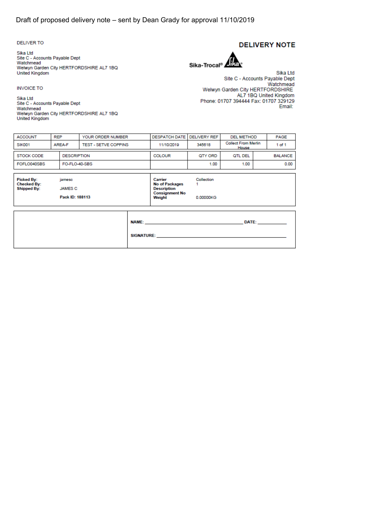### Draft of proposed delivery note – sent by Dean Grady for approval 11/10/2019

#### **DELIVER TO**

Sika Ltd Site C - Accounts Payable Dept<br>Watchmead<br>Welwyn Garden City HERTFORDSHIRE AL7 1BQ United Kingdom

**INVOICE TO** 

Sika Ltd<br>Site C - Accounts Payable Dept<br>Watchmead<br>Welwyn Garden City HERTFORDSHIRE AL7 1BQ<br>United Kingdom

### **DELIVERY NOTE**

Sika-Trocal<sup>®</sup> Sika Ltd Site C - Accounts Payable Dept Watchmead Welwyn Garden City HERTFORDSHIRE ALT 1BQ United Kingdom<br>ALT 1BQ United Kingdom<br>Phone: 01707 394444 Fax: 01707 329129 Email:

| <b>ACCOUNT</b>    | <b>REP</b> |                    | YOUR ORDER NUMBER           | <b>DESPATCH DATE I DELIVERY REF</b> |         | <b>DEL METHOD</b>                   | PAGE           |
|-------------------|------------|--------------------|-----------------------------|-------------------------------------|---------|-------------------------------------|----------------|
| SIK001            |            | <b>AREA-F</b>      | <b>TEST - SETVE COPPINS</b> | 11/10/2019                          | 345618  | <b>Collect From Merlin</b><br>House | $1$ of $1$     |
| <b>STOCK CODE</b> |            | <b>DESCRIPTION</b> |                             | <b>COLOUR</b>                       | QTY ORD | <b>QTL DEL</b>                      | <b>BALANCE</b> |
|                   |            |                    |                             |                                     |         |                                     |                |
| FOFLO040SBS       |            | FO-FLO-40-SBS      |                             |                                     | 1.00    | 1.00                                | 0.00           |
|                   |            |                    |                             |                                     |         |                                     |                |
|                   |            |                    |                             |                                     |         |                                     |                |

| <b>Picked By:</b><br><b>Checked By:</b><br><b>Shipped By:</b> | jamesc<br>JAMES C | Carrier<br><b>No of Packages</b><br><b>Description</b> | Collection                      |           |
|---------------------------------------------------------------|-------------------|--------------------------------------------------------|---------------------------------|-----------|
|                                                               |                   | Pack ID: 188113                                        | <b>Consignment No</b><br>Weight | 0.00000KG |

| <b>NAME:</b>      | DATE: |
|-------------------|-------|
| <b>SIGNATURE:</b> |       |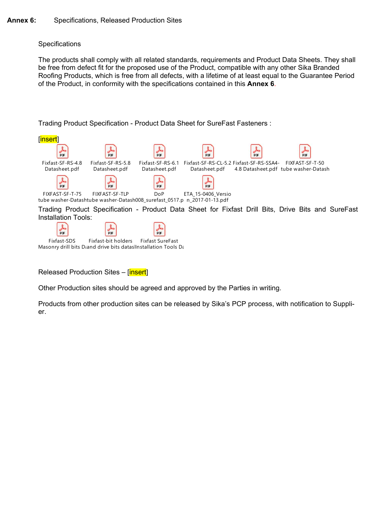### Specifications

The products shall comply with all related standards, requirements and Product Data Sheets. They shall be free from defect fit for the proposed use of the Product, compatible with any other Sika Branded Roofing Products, which is free from all defects, with a lifetime of at least equal to the Guarantee Period of the Product, in conformity with the specifications contained in this **Annex 6**.

Trading Product Specification - Product Data Sheet for SureFast Fasteners :



Released Production Sites – [insert]

Other Production sites should be agreed and approved by the Parties in writing.

Products from other production sites can be released by Sika's PCP process, with notification to Supplier.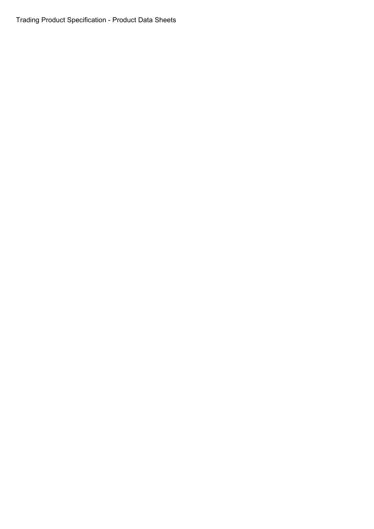Trading Product Specification - Product Data Sheets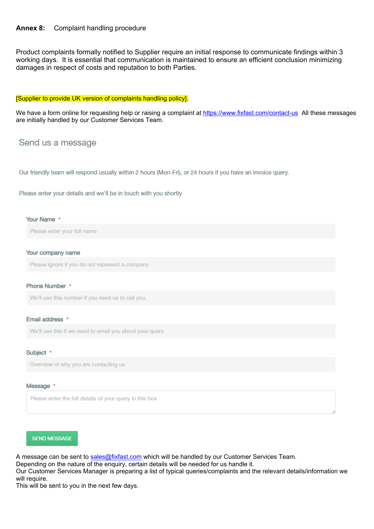### **Annex 8:** Complaint handling procedure

Product complaints formally notified to Supplier require an initial response to communicate findings within 3 working days. It is essential that communication is maintained to ensure an efficient conclusion minimizing damages in respect of costs and reputation to both Parties.

#### [Supplier to provide UK version of complaints handling policy].

We have a form online for requesting help or raising a complaint at https://www.fixfast.com/contact-us All these messages are initially handled by our Customer Services Team.

# Send us a message

Our friendly team will respond usually within 2 hours (Mon-Fri), or 24 hours if you have an invoice query.

Please enter your details and we'll be in touch with you shortly

#### Your Name

Please enter your full name

#### Your company name

Please ignore if you do not represent a company

### Phone Number \*

We'll use this number if you need us to call you.

#### Email address \*

We'll use this if we need to email you about your query.

#### Subject \*

Overview of why you are contacting us

#### Message \*

Please enter the full details of your query in this box

**SFND MFSSAGF** 

A message can be sent to sales@fixfast.com which will be handled by our Customer Services Team.

Depending on the nature of the enquiry, certain details will be needed for us handle it.

Our Customer Services Manager is preparing a list of typical queries/complaints and the relevant details/information we will require.

This will be sent to you in the next few days.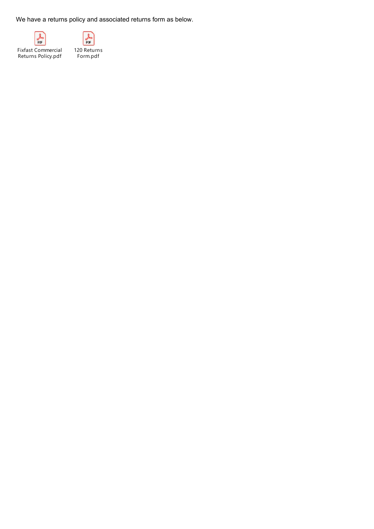We have a returns policy and associated returns form as below.



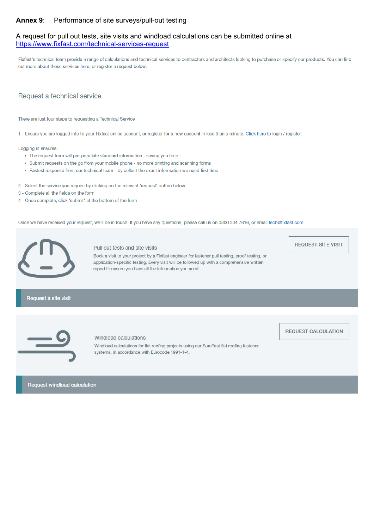### **Annex 9**: Performance of site surveys/pull-out testing

### A request for pull out tests, site visits and windload calculations can be submitted online at https://www.fixfast.com/technical-services-request

Fixfast's technical team provide a range of calculations and technical services to contractors and architects looking to purchase or specify our products. You can find out more about these services here, or register a request below.

# Request a technical service

There are just four steps to requesting a Technical Service

1 - Ensure you are logged into to your Fixfast online account, or register for a new account in less than a minute. Click here to login / register.

Logging in ensures:

- . The request form will pre-populate standard information saving you time
- Submit requests on the go from your mobile phone no more printing and scanning forms
- Fastest response from our technical team by collect the exact information we need first time
- 2 Select the service you require by clicking on the relevant 'request' button below
- 3 Complete all the fields on the form
- 4 Once complete, click 'submit' at the bottom of the form

Once we have received your request, we'll be in touch. If you have any questions, please call us on 0800 304 7616, or email tech@fixfast.com.



#### Pull out tests and site visits

Book a visit to your project by a Fixfast engineer for fastener pull testing, proof testing, or application-specific testing. Every visit will be followed up with a comprehensive written report to ensure you have all the information you need.

Request a site visit



#### Windload calculations

Windload calculations for flat roofing projects using our SureFast flat roofing fastener systems, in accordance with Eurocode 1991-1-4.

**REQUEST CALCULATION** 

**REQUEST SITE VISIT** 

Request windload calculation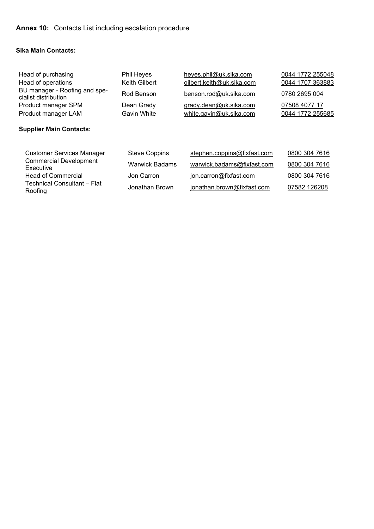# **Annex 10:** Contacts List including escalation procedure

### **Sika Main Contacts:**

| Product manager LAM                                   | Gavin White                 | white.gavin@uk.sika.com                             | 0044 1772 255685                     |
|-------------------------------------------------------|-----------------------------|-----------------------------------------------------|--------------------------------------|
| Product manager SPM                                   | Dean Grady                  | grady.dean@uk.sika.com                              | 07508 4077 17                        |
| BU manager - Roofing and spe-<br>cialist distribution | Rod Benson                  | benson.rod@uk.sika.com                              | 0780 2695 004                        |
| Head of purchasing<br>Head of operations              | Phil Heyes<br>Keith Gilbert | heyes.phil@uk.sika.com<br>gilbert.keith@uk.sika.com | 0044 1772 255048<br>0044 1707 363883 |

| Customer Services Manager     |
|-------------------------------|
| <b>Commercial Development</b> |
| Executive                     |
| <b>Head of Commercial</b>     |
| Technical Consultant – Flat   |
| Roofing                       |

| <b>Customer Services Manager</b>           | <b>Steve Coppins</b>  | stephen.coppins@fixfast.com | 0800 304 7616 |
|--------------------------------------------|-----------------------|-----------------------------|---------------|
| <b>Commercial Development</b><br>Executive | <b>Warwick Badams</b> | warwick.badams@fixfast.com  | 0800 304 7616 |
| <b>Head of Commercial</b>                  | Jon Carron            | jon.carron@fixfast.com      | 0800 304 7616 |
| Technical Consultant - Flat<br>Roofing     | Jonathan Brown        | jonathan.brown@fixfast.com  | 07582 126208  |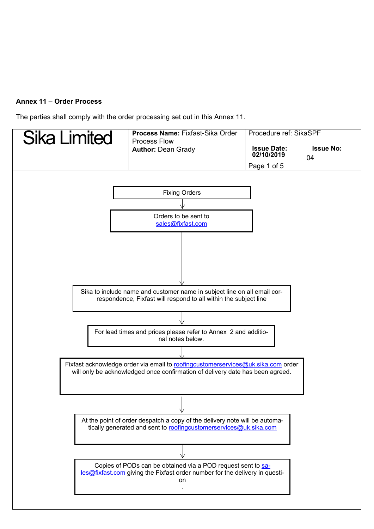# **Annex 11 – Order Process**

The parties shall comply with the order processing set out in this Annex 11.